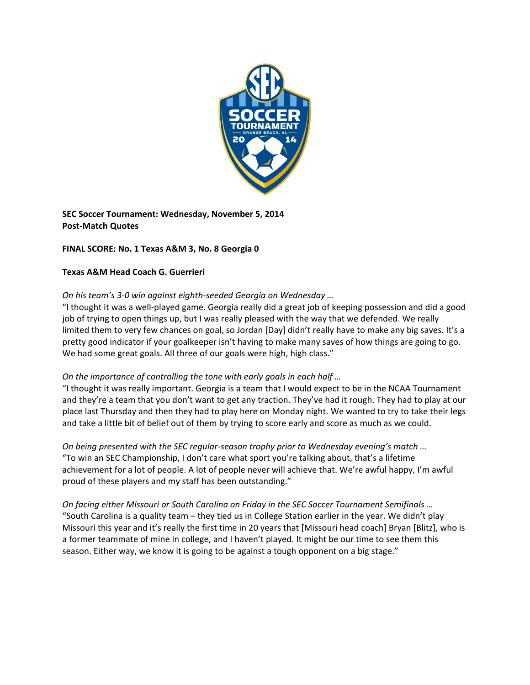

**SEC Soccer Tournament: Wednesday, November 5, 2014 Post‐Match Quotes**

# **FINAL SCORE: No. 1 Texas A&M 3, No. 8 Georgia 0**

## **Texas A&M Head Coach G. Guerrieri**

## *On his team's 3‐0 win against eighth‐seeded Georgia on Wednesday …*

"I thought it was a well‐played game. Georgia really did a great job of keeping possession and did a good job of trying to open things up, but I was really pleased with the way that we defended. We really limited them to very few chances on goal, so Jordan [Day] didn't really have to make any big saves. It's a pretty good indicator if your goalkeeper isn't having to make many saves of how things are going to go. We had some great goals. All three of our goals were high, high class."

## *On the importance of controlling the tone with early goals in each half …*

"I thought it was really important. Georgia is a team that I would expect to be in the NCAA Tournament and they're a team that you don't want to get any traction. They've had it rough. They had to play at our place last Thursday and then they had to play here on Monday night. We wanted to try to take their legs and take a little bit of belief out of them by trying to score early and score as much as we could.

*On being presented with the SEC regular‐season trophy prior to Wednesday evening's match …*  "To win an SEC Championship, I don't care what sport you're talking about, that's a lifetime achievement for a lot of people. A lot of people never will achieve that. We're awful happy, I'm awful proud of these players and my staff has been outstanding."

*On facing either Missouri or South Carolina on Friday in the SEC Soccer Tournament Semifinals …*  "South Carolina is a quality team – they tied us in College Station earlier in the year. We didn't play Missouri this year and it's really the first time in 20 years that [Missouri head coach] Bryan [Blitz], who is a former teammate of mine in college, and I haven't played. It might be our time to see them this season. Either way, we know it is going to be against a tough opponent on a big stage."